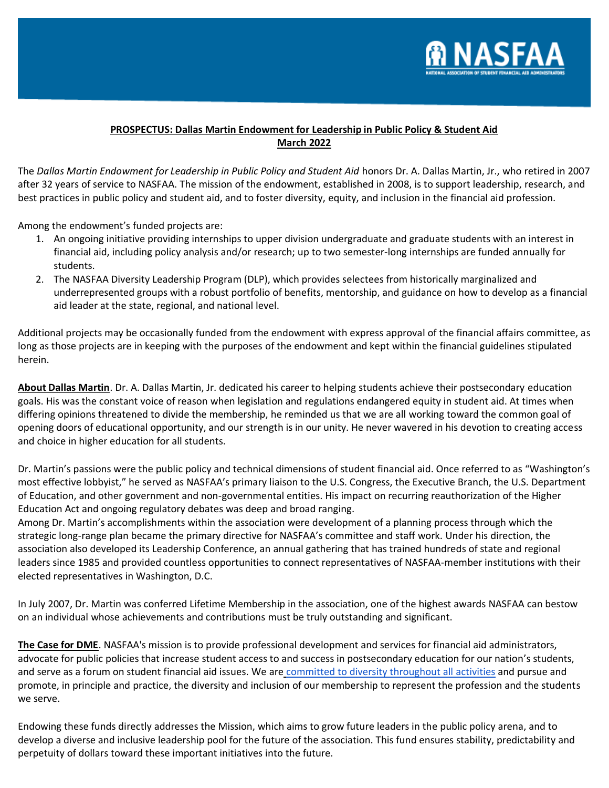

## **PROSPECTUS: Dallas Martin Endowment for Leadership in Public Policy & Student Aid March 2022**

The *Dallas Martin Endowment for Leadership in Public Policy and Student Aid* honors Dr. A. Dallas Martin, Jr., who retired in 2007 after 32 years of service to NASFAA. The mission of the endowment, established in 2008, is to support leadership, research, and best practices in public policy and student aid, and to foster diversity, equity, and inclusion in the financial aid profession.

Among the endowment's funded projects are:

- 1. An ongoing initiative providing internships to upper division undergraduate and graduate students with an interest in financial aid, including policy analysis and/or research; up to two semester-long internships are funded annually for students.
- 2. The NASFAA Diversity Leadership Program (DLP), which provides selectees from historically marginalized and underrepresented groups with a robust portfolio of benefits, mentorship, and guidance on how to develop as a financial aid leader at the state, regional, and national level.

Additional projects may be occasionally funded from the endowment with express approval of the financial affairs committee, as long as those projects are in keeping with the purposes of the endowment and kept within the financial guidelines stipulated herein.

**About Dallas Martin**. Dr. A. Dallas Martin, Jr. dedicated his career to helping students achieve their postsecondary education goals. His was the constant voice of reason when legislation and regulations endangered equity in student aid. At times when differing opinions threatened to divide the membership, he reminded us that we are all working toward the common goal of opening doors of educational opportunity, and our strength is in our unity. He never wavered in his devotion to creating access and choice in higher education for all students.

Dr. Martin's passions were the public policy and technical dimensions of student financial aid. Once referred to as "Washington's most effective lobbyist," he served as NASFAA's primary liaison to the U.S. Congress, the Executive Branch, the U.S. Department of Education, and other government and non-governmental entities. His impact on recurring reauthorization of the Higher Education Act and ongoing regulatory debates was deep and broad ranging.

Among Dr. Martin's accomplishments within the association were development of a planning process through which the strategic long-range plan became the primary directive for NASFAA's committee and staff work. Under his direction, the association also developed its Leadership Conference, an annual gathering that has trained hundreds of state and regional leaders since 1985 and provided countless opportunities to connect representatives of NASFAA-member institutions with their elected representatives in Washington, D.C.

In July 2007, Dr. Martin was conferred Lifetime Membership in the association, one of the highest awards NASFAA can bestow on an individual whose achievements and contributions must be truly outstanding and significant.

**The Case for DME**. NASFAA's mission is to provide professional development and services for financial aid administrators, advocate for public policies that increase student access to and success in postsecondary education for our nation's students, and serve as a forum on student financial aid issues. We are [committed to diversity throughout all activities](https://www.nasfaa.org/diversity) and pursue and promote, in principle and practice, the diversity and inclusion of our membership to represent the profession and the students we serve.

Endowing these funds directly addresses the Mission, which aims to grow future leaders in the public policy arena, and to develop a diverse and inclusive leadership pool for the future of the association. This fund ensures stability, predictability and perpetuity of dollars toward these important initiatives into the future.